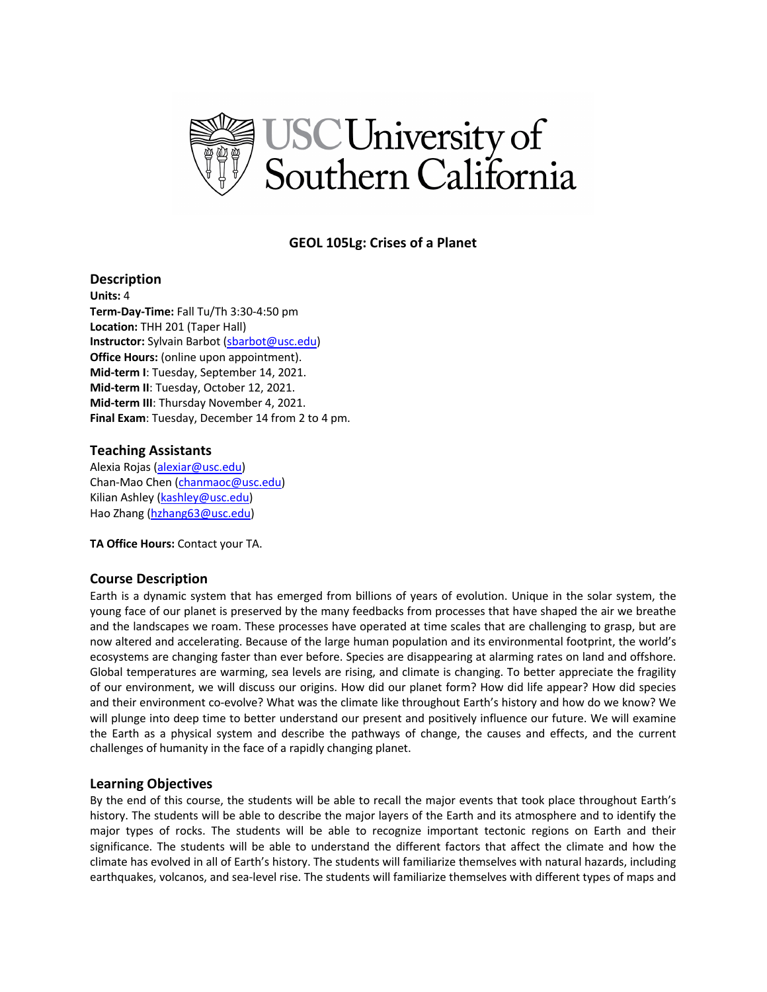

# **GEOL 105Lg: Crises of a Planet**

# **Description**

**Units:** 4 **Term-Day-Time:** Fall Tu/Th 3:30-4:50 pm **Location:** THH 201 (Taper Hall) **Instructor:** Sylvain Barbot (sbarbot@usc.edu) **Office Hours:** (online upon appointment). **Mid-term I**: Tuesday, September 14, 2021. **Mid-term II**: Tuesday, October 12, 2021. **Mid-term III**: Thursday November 4, 2021. **Final Exam**: Tuesday, December 14 from 2 to 4 pm.

# **Teaching Assistants**

Alexia Rojas (alexiar@usc.edu) Chan-Mao Chen (chanmaoc@usc.edu) Kilian Ashley (kashley@usc.edu) Hao Zhang (hzhang63@usc.edu)

**TA Office Hours:** Contact your TA.

## **Course Description**

Earth is a dynamic system that has emerged from billions of years of evolution. Unique in the solar system, the young face of our planet is preserved by the many feedbacks from processes that have shaped the air we breathe and the landscapes we roam. These processes have operated at time scales that are challenging to grasp, but are now altered and accelerating. Because of the large human population and its environmental footprint, the world's ecosystems are changing faster than ever before. Species are disappearing at alarming rates on land and offshore. Global temperatures are warming, sea levels are rising, and climate is changing. To better appreciate the fragility of our environment, we will discuss our origins. How did our planet form? How did life appear? How did species and their environment co-evolve? What was the climate like throughout Earth's history and how do we know? We will plunge into deep time to better understand our present and positively influence our future. We will examine the Earth as a physical system and describe the pathways of change, the causes and effects, and the current challenges of humanity in the face of a rapidly changing planet.

## **Learning Objectives**

By the end of this course, the students will be able to recall the major events that took place throughout Earth's history. The students will be able to describe the major layers of the Earth and its atmosphere and to identify the major types of rocks. The students will be able to recognize important tectonic regions on Earth and their significance. The students will be able to understand the different factors that affect the climate and how the climate has evolved in all of Earth's history. The students will familiarize themselves with natural hazards, including earthquakes, volcanos, and sea-level rise. The students will familiarize themselves with different types of maps and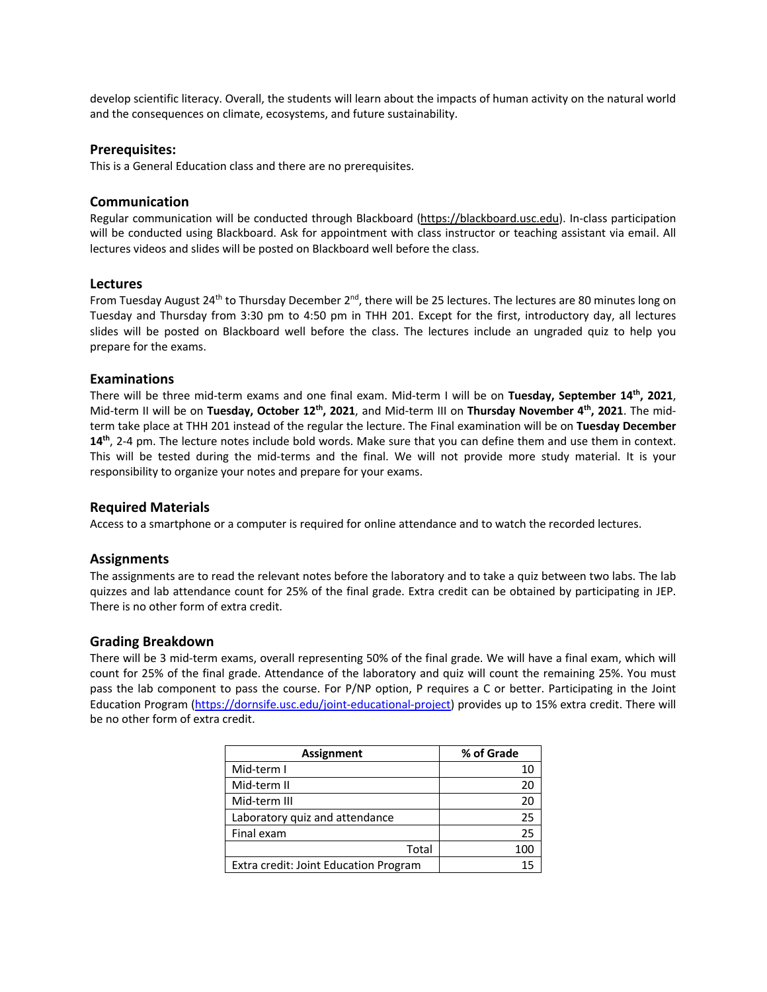develop scientific literacy. Overall, the students will learn about the impacts of human activity on the natural world and the consequences on climate, ecosystems, and future sustainability.

### **Prerequisites:**

This is a General Education class and there are no prerequisites.

## **Communication**

Regular communication will be conducted through Blackboard (https://blackboard.usc.edu). In-class participation will be conducted using Blackboard. Ask for appointment with class instructor or teaching assistant via email. All lectures videos and slides will be posted on Blackboard well before the class.

## **Lectures**

From Tuesday August 24<sup>th</sup> to Thursday December 2<sup>nd</sup>, there will be 25 lectures. The lectures are 80 minutes long on Tuesday and Thursday from 3:30 pm to 4:50 pm in THH 201. Except for the first, introductory day, all lectures slides will be posted on Blackboard well before the class. The lectures include an ungraded quiz to help you prepare for the exams.

# **Examinations**

There will be three mid-term exams and one final exam. Mid-term I will be on **Tuesday, September 14th, 2021**, Mid-term II will be on **Tuesday, October 12th, 2021**, and Mid-term III on **Thursday November 4th, 2021**. The midterm take place at THH 201 instead of the regular the lecture. The Final examination will be on **Tuesday December 14th**, 2-4 pm. The lecture notes include bold words. Make sure that you can define them and use them in context. This will be tested during the mid-terms and the final. We will not provide more study material. It is your responsibility to organize your notes and prepare for your exams.

# **Required Materials**

Access to a smartphone or a computer is required for online attendance and to watch the recorded lectures.

## **Assignments**

The assignments are to read the relevant notes before the laboratory and to take a quiz between two labs. The lab quizzes and lab attendance count for 25% of the final grade. Extra credit can be obtained by participating in JEP. There is no other form of extra credit.

### **Grading Breakdown**

There will be 3 mid-term exams, overall representing 50% of the final grade. We will have a final exam, which will count for 25% of the final grade. Attendance of the laboratory and quiz will count the remaining 25%. You must pass the lab component to pass the course. For P/NP option, P requires a C or better. Participating in the Joint Education Program (https://dornsife.usc.edu/joint-educational-project) provides up to 15% extra credit. There will be no other form of extra credit.

| <b>Assignment</b>                     | % of Grade |
|---------------------------------------|------------|
| Mid-term I                            | 10         |
| Mid-term II                           | 20         |
| Mid-term III                          | 20         |
| Laboratory quiz and attendance        | 25         |
| Final exam                            | 25         |
| Total                                 | 100        |
| Extra credit: Joint Education Program |            |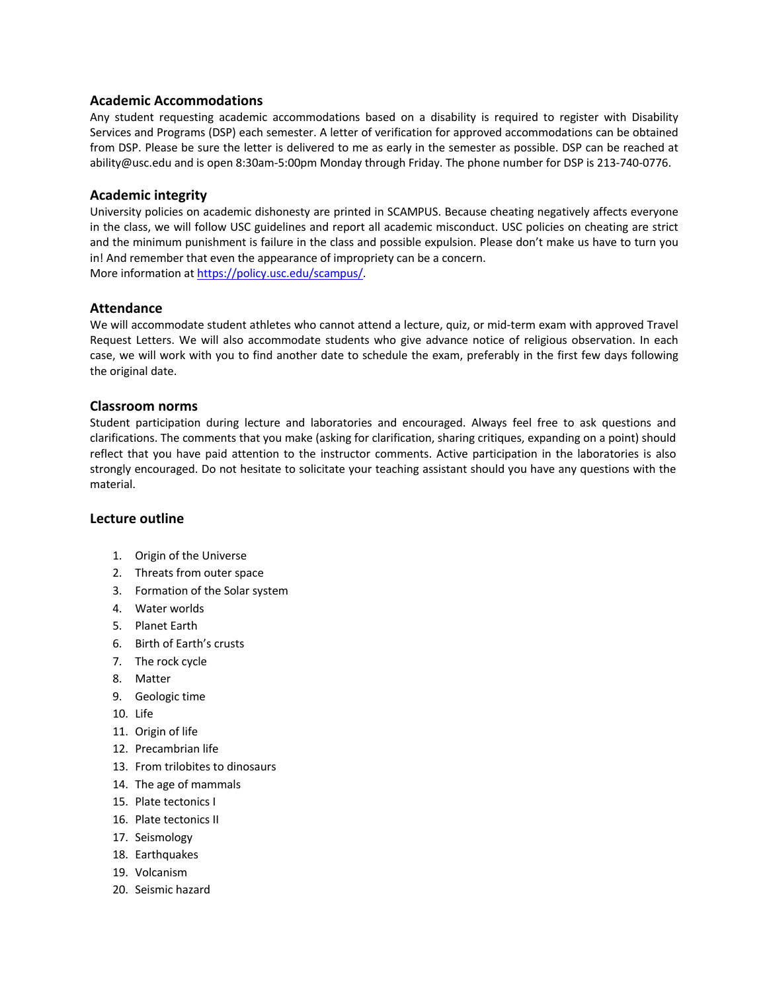# **Academic Accommodations**

Any student requesting academic accommodations based on a disability is required to register with Disability Services and Programs (DSP) each semester. A letter of verification for approved accommodations can be obtained from DSP. Please be sure the letter is delivered to me as early in the semester as possible. DSP can be reached at ability@usc.edu and is open 8:30am-5:00pm Monday through Friday. The phone number for DSP is 213-740-0776.

# **Academic integrity**

University policies on academic dishonesty are printed in SCAMPUS. Because cheating negatively affects everyone in the class, we will follow USC guidelines and report all academic misconduct. USC policies on cheating are strict and the minimum punishment is failure in the class and possible expulsion. Please don't make us have to turn you in! And remember that even the appearance of impropriety can be a concern. More information at https://policy.usc.edu/scampus/.

# **Attendance**

We will accommodate student athletes who cannot attend a lecture, quiz, or mid-term exam with approved Travel Request Letters. We will also accommodate students who give advance notice of religious observation. In each case, we will work with you to find another date to schedule the exam, preferably in the first few days following the original date.

## **Classroom norms**

Student participation during lecture and laboratories and encouraged. Always feel free to ask questions and clarifications. The comments that you make (asking for clarification, sharing critiques, expanding on a point) should reflect that you have paid attention to the instructor comments. Active participation in the laboratories is also strongly encouraged. Do not hesitate to solicitate your teaching assistant should you have any questions with the material.

## **Lecture outline**

- 1. Origin of the Universe
- 2. Threats from outer space
- 3. Formation of the Solar system
- 4. Water worlds
- 5. Planet Earth
- 6. Birth of Earth's crusts
- 7. The rock cycle
- 8. Matter
- 9. Geologic time
- 10. Life
- 11. Origin of life
- 12. Precambrian life
- 13. From trilobites to dinosaurs
- 14. The age of mammals
- 15. Plate tectonics I
- 16. Plate tectonics II
- 17. Seismology
- 18. Earthquakes
- 19. Volcanism
- 20. Seismic hazard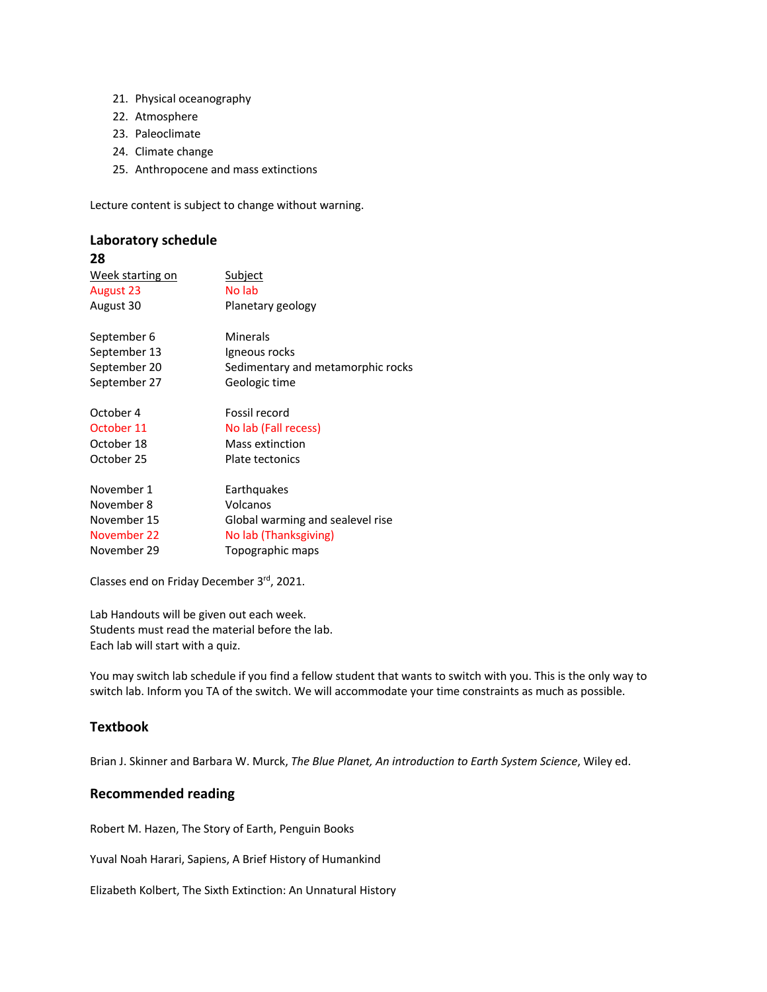- 21. Physical oceanography
- 22. Atmosphere
- 23. Paleoclimate
- 24. Climate change
- 25. Anthropocene and mass extinctions

Lecture content is subject to change without warning.

# **Laboratory schedule 28**

| Week starting on | <u>Subject</u>                    |
|------------------|-----------------------------------|
| August 23        | No lab                            |
| August 30        | Planetary geology                 |
| September 6      | Minerals                          |
| September 13     | Igneous rocks                     |
| September 20     | Sedimentary and metamorphic rocks |
| September 27     | Geologic time                     |
| October 4        | Fossil record                     |
| October 11       | No lab (Fall recess)              |
| October 18       | Mass extinction                   |
| October 25       | Plate tectonics                   |
| November 1       | Earthquakes                       |
| November 8       | Volcanos                          |
| November 15      | Global warming and sealevel rise  |
| November 22      | No lab (Thanksgiving)             |
| November 29      | Topographic maps                  |
|                  |                                   |

Classes end on Friday December 3rd, 2021.

Lab Handouts will be given out each week. Students must read the material before the lab. Each lab will start with a quiz.

You may switch lab schedule if you find a fellow student that wants to switch with you. This is the only way to switch lab. Inform you TA of the switch. We will accommodate your time constraints as much as possible.

# **Textbook**

Brian J. Skinner and Barbara W. Murck, *The Blue Planet, An introduction to Earth System Science*, Wiley ed.

# **Recommended reading**

Robert M. Hazen, The Story of Earth, Penguin Books

Yuval Noah Harari, Sapiens, A Brief History of Humankind

Elizabeth Kolbert, The Sixth Extinction: An Unnatural History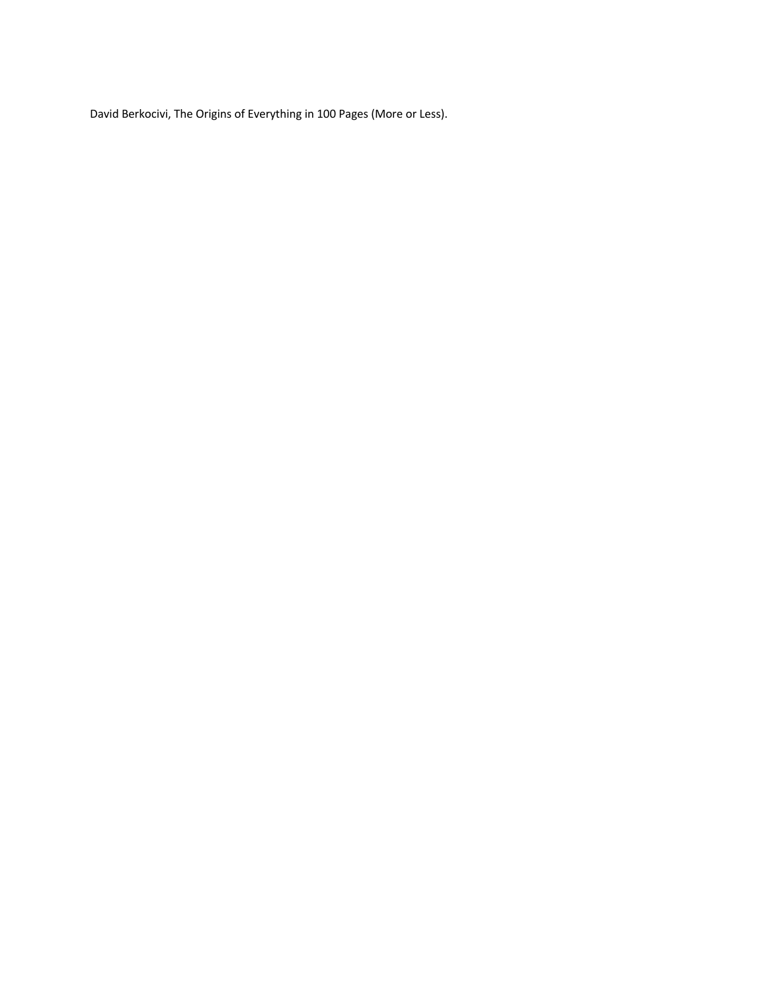David Berkocivi, The Origins of Everything in 100 Pages (More or Less).